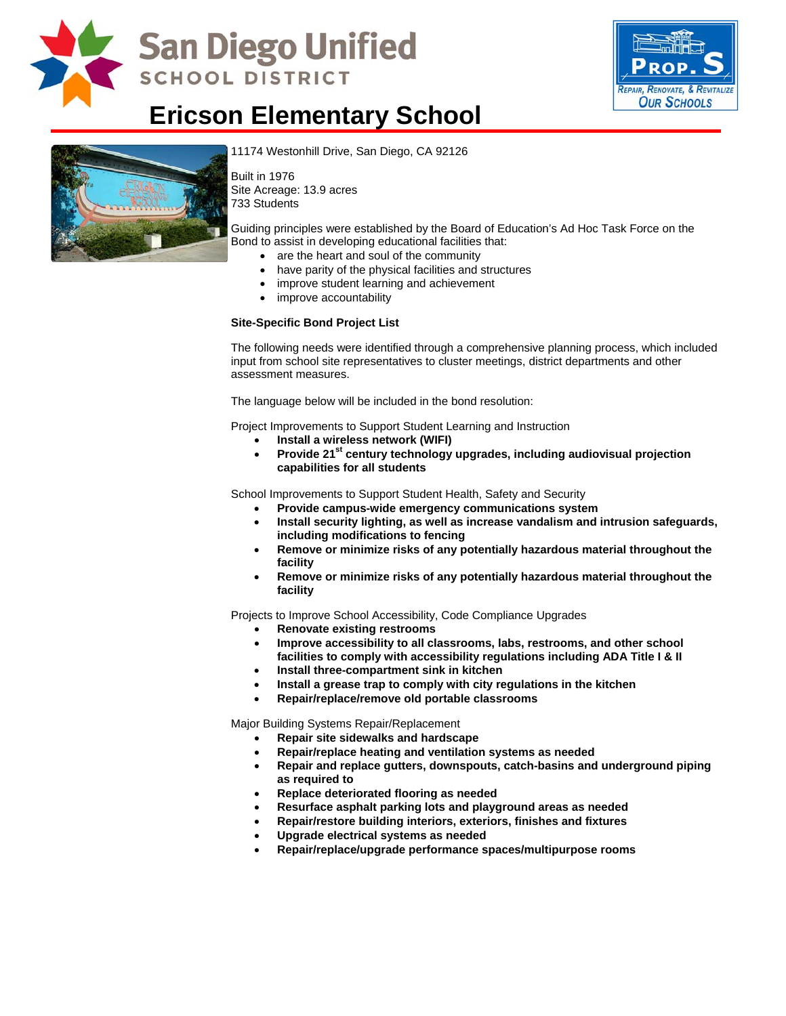

# **San Diego Unified SCHOOL DISTRICT**



# **Ericson Elementary School**



11174 Westonhill Drive, San Diego, CA 92126

Built in 1976 Site Acreage: 13.9 acres 733 Students

[Guiding principles were established](http://www.sandi.net/comm/schools/schlpix/ericson.jpg) by the Board of Education's Ad Hoc Task Force on the Bond to assist in developing educational facilities that:

- are the heart and soul of the community
- have parity of the physical facilities and structures
- improve student learning and achievement
- improve accountability

#### **Site-Specific Bond Project List**

The following needs were identified through a comprehensive planning process, which included input from school site representatives to cluster meetings, district departments and other assessment measures.

The language below will be included in the bond resolution:

Project Improvements to Support Student Learning and Instruction

- **Install a wireless network (WIFI)**
- **Provide 21st century technology upgrades, including audiovisual projection capabilities for all students**

School Improvements to Support Student Health, Safety and Security

- **Provide campus-wide emergency communications system**
- **Install security lighting, as well as increase vandalism and intrusion safeguards, including modifications to fencing**
- **Remove or minimize risks of any potentially hazardous material throughout the facility**
- **Remove or minimize risks of any potentially hazardous material throughout the facility**

Projects to Improve School Accessibility, Code Compliance Upgrades

- **Renovate existing restrooms**
- **Improve accessibility to all classrooms, labs, restrooms, and other school**
- **facilities to comply with accessibility regulations including ADA Title I & II**
- **Install three-compartment sink in kitchen**
- **Install a grease trap to comply with city regulations in the kitchen**
- **Repair/replace/remove old portable classrooms**

Major Building Systems Repair/Replacement

- **Repair site sidewalks and hardscape**
- **Repair/replace heating and ventilation systems as needed**
- **Repair and replace gutters, downspouts, catch-basins and underground piping as required to**
- **Replace deteriorated flooring as needed**
- **Resurface asphalt parking lots and playground areas as needed**
- **Repair/restore building interiors, exteriors, finishes and fixtures**
- **Upgrade electrical systems as needed**
- **Repair/replace/upgrade performance spaces/multipurpose rooms**